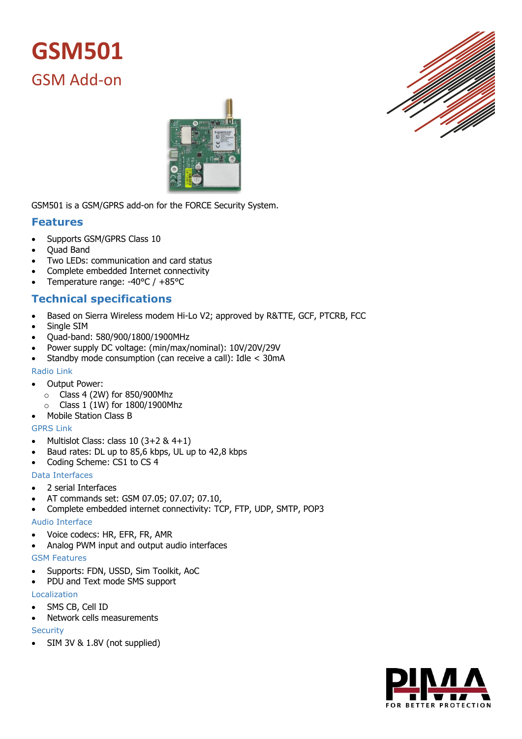



GSM501 is a GSM/GPRS add-on for the FORCE Security System.

## **Features**

- Supports GSM/GPRS Class 10
- Quad Band
- Two LEDs: communication and card status
- Complete embedded Internet connectivity
- Temperature range: -40°C / +85°C

# **Technical specifications**

- Based on Sierra Wireless modem Hi-Lo V2; approved by R&TTE, GCF, PTCRB, FCC
- Single SIM
- Quad-band: 580/900/1800/1900MHz
- Power supply DC voltage: (min/max/nominal): 10V/20V/29V
- Standby mode consumption (can receive a call): Idle < 30mA

### Radio Link

- Output Power:
	- o Class 4 (2W) for 850/900Mhz
	- o Class 1 (1W) for 1800/1900Mhz
- Mobile Station Class B

#### GPRS Link

- Multislot Class: class 10 (3+2 & 4+1)
- Baud rates: DL up to 85,6 kbps, UL up to 42,8 kbps
- Coding Scheme: CS1 to CS 4

#### Data Interfaces

- 2 serial Interfaces
- AT commands set: GSM 07.05; 07.07; 07.10,
- Complete embedded internet connectivity: TCP, FTP, UDP, SMTP, POP3

#### Audio Interface

- Voice codecs: HR, EFR, FR, AMR
- Analog PWM input and output audio interfaces

#### GSM Features

- Supports: FDN, USSD, Sim Toolkit, AoC
- PDU and Text mode SMS support

#### Localization

- SMS CB, Cell ID
- Network cells measurements

**Security** 

• SIM 3V & 1.8V (not supplied)